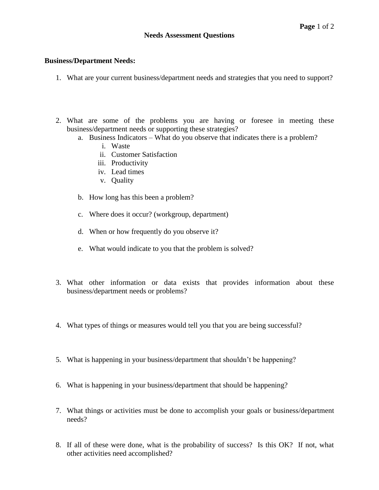## **Business/Department Needs:**

- 1. What are your current business/department needs and strategies that you need to support?
- 2. What are some of the problems you are having or foresee in meeting these business/department needs or supporting these strategies?
	- a. Business Indicators What do you observe that indicates there is a problem?
		- i. Waste
		- ii. Customer Satisfaction
		- iii. Productivity
		- iv. Lead times
		- v. Quality
	- b. How long has this been a problem?
	- c. Where does it occur? (workgroup, department)
	- d. When or how frequently do you observe it?
	- e. What would indicate to you that the problem is solved?
- 3. What other information or data exists that provides information about these business/department needs or problems?
- 4. What types of things or measures would tell you that you are being successful?
- 5. What is happening in your business/department that shouldn't be happening?
- 6. What is happening in your business/department that should be happening?
- 7. What things or activities must be done to accomplish your goals or business/department needs?
- 8. If all of these were done, what is the probability of success? Is this OK? If not, what other activities need accomplished?